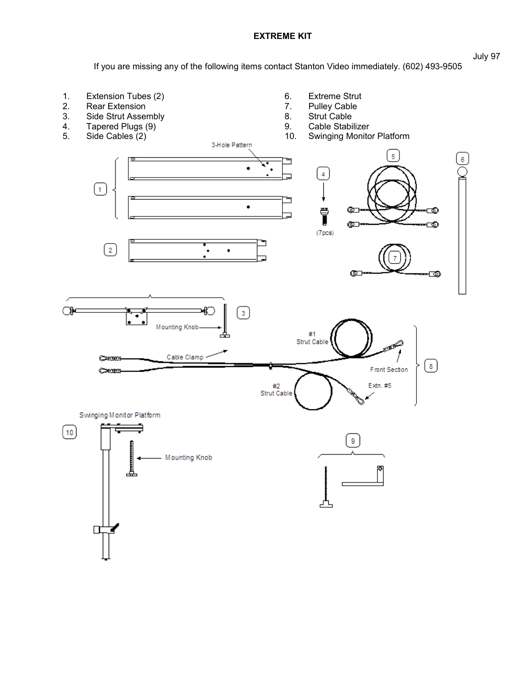**EXTREME KIT**

If you are missing any of the following items contact Stanton Video immediately. (602) 493-9505

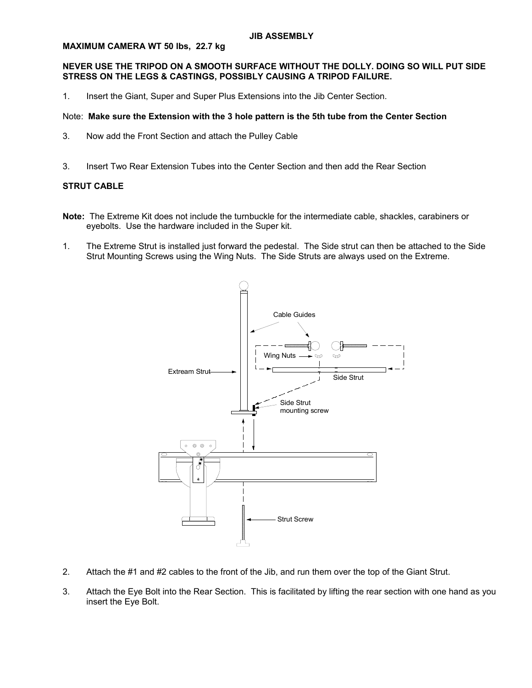### **MAXIMUM CAMERA WT 50 lbs, 22.7 kg**

## **NEVER USE THE TRIPOD ON A SMOOTH SURFACE WITHOUT THE DOLLY. DOING SO WILL PUT SIDE STRESS ON THE LEGS & CASTINGS, POSSIBLY CAUSING A TRIPOD FAILURE.**

1. Insert the Giant, Super and Super Plus Extensions into the Jib Center Section.

## Note: **Make sure the Extension with the 3 hole pattern is the 5th tube from the Center Section**

- 3. Now add the Front Section and attach the Pulley Cable
- 3. Insert Two Rear Extension Tubes into the Center Section and then add the Rear Section

# **STRUT CABLE**

- **Note:** The Extreme Kit does not include the turnbuckle for the intermediate cable, shackles, carabiners or eyebolts. Use the hardware included in the Super kit.
- 1. The Extreme Strut is installed just forward the pedestal. The Side strut can then be attached to the Side Strut Mounting Screws using the Wing Nuts. The Side Struts are always used on the Extreme.



- 2. Attach the #1 and #2 cables to the front of the Jib, and run them over the top of the Giant Strut.
- 3. Attach the Eye Bolt into the Rear Section. This is facilitated by lifting the rear section with one hand as you insert the Eye Bolt.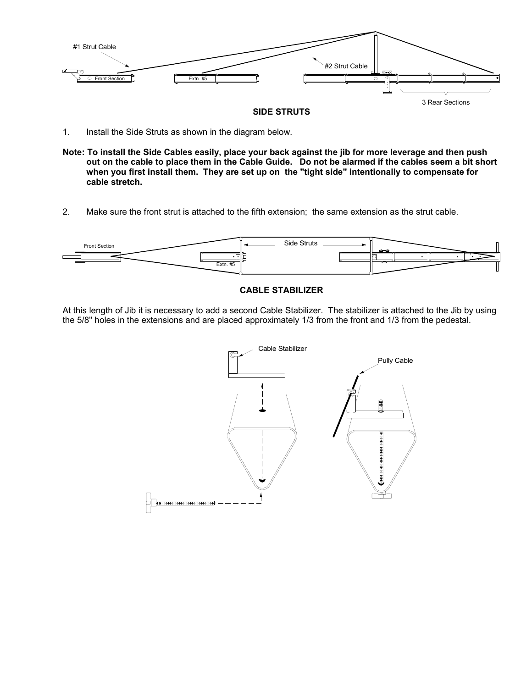

## **SIDE STRUTS**

- 1. Install the Side Struts as shown in the diagram below.
- **Note: To install the Side Cables easily, place your back against the jib for more leverage and then push out on the cable to place them in the Cable Guide. Do not be alarmed if the cables seem a bit short when you first install them. They are set up on the "tight side" intentionally to compensate for cable stretch.**
- 2. Make sure the front strut is attached to the fifth extension; the same extension as the strut cable.



## **CABLE STABILIZER**

At this length of Jib it is necessary to add a second Cable Stabilizer. The stabilizer is attached to the Jib by using the 5/8" holes in the extensions and are placed approximately 1/3 from the front and 1/3 from the pedestal.